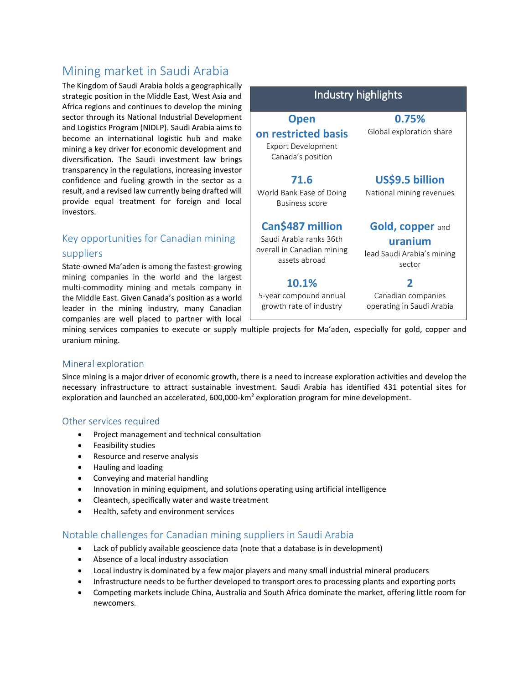# Mining market in Saudi Arabia

The Kingdom of Saudi Arabia holds a geographically strategic position in the Middle East, West Asia a Africa regions and continues to develop the mini sector through its National Industrial Developme and Logistics Program (NIDLP). Saudi Arabia aims become an international logistic hub and ma mining a key driver for economic development a diversification. The Saudi investment law brir transparency in the regulations, increasing invest confidence and fueling growth in the sector as result, and a revised law currently being drafted provide equal treatment for foreign and lo investors.

# Key opportunities for Canadian mining suppliers

State-owned Ma'aden is among the fastest-grow mining companies in the world and the large multi-commodity mining and metals company the Middle East. Given Canada's position as a wo leader in the mining industry, many Canadi companies are well placed to partner with local

| and<br>ing                | Industry highlights                                                   |                                                 |
|---------------------------|-----------------------------------------------------------------------|-------------------------------------------------|
| ent<br>s to               | <b>Open</b>                                                           | 0.75%                                           |
| ake<br>and<br>ngs<br>stor | on restricted basis<br><b>Export Development</b><br>Canada's position | Global exploration share                        |
| is a                      | 71.6                                                                  | US\$9.5 billion                                 |
| will<br>ocal              | World Bank Ease of Doing<br><b>Business score</b>                     | National mining revenues                        |
|                           | Can\$487 million                                                      | <b>Gold, copper and</b>                         |
|                           | Saudi Arabia ranks 36th                                               | uranium                                         |
| ing                       | overall in Canadian mining<br>assets abroad                           | lead Saudi Arabia's mining<br>sector            |
| est;<br>r in              | 10.1%                                                                 | 2                                               |
| orld<br>lian              | 5-year compound annual<br>growth rate of industry                     | Canadian companies<br>operating in Saudi Arabia |
|                           |                                                                       |                                                 |

mining services companies to execute or supply multiple projects for Ma'aden, especially for gold, copper and uranium mining.

#### Mineral exploration

Since mining is a major driver of economic growth, there is a need to increase exploration activities and develop the necessary infrastructure to attract sustainable investment. Saudi Arabia has identified 431 potential sites for exploration and launched an accelerated, 600,000-km<sup>2</sup> exploration program for mine development.

#### Other services required

- Project management and technical consultation
- Feasibility studies
- Resource and reserve analysis
- Hauling and loading
- Conveying and material handling
- Innovation in mining equipment, and solutions operating using artificial intelligence
- Cleantech, specifically water and waste treatment
- Health, safety and environment services

### Notable challenges for Canadian mining suppliers in Saudi Arabia

- Lack of publicly available geoscience data (note that a database is in development)
- Absence of a local industry association
- Local industry is dominated by a few major players and many small industrial mineral producers
- Infrastructure needs to be further developed to transport ores to processing plants and exporting ports
- Competing markets include China, Australia and South Africa dominate the market, offering little room for newcomers.